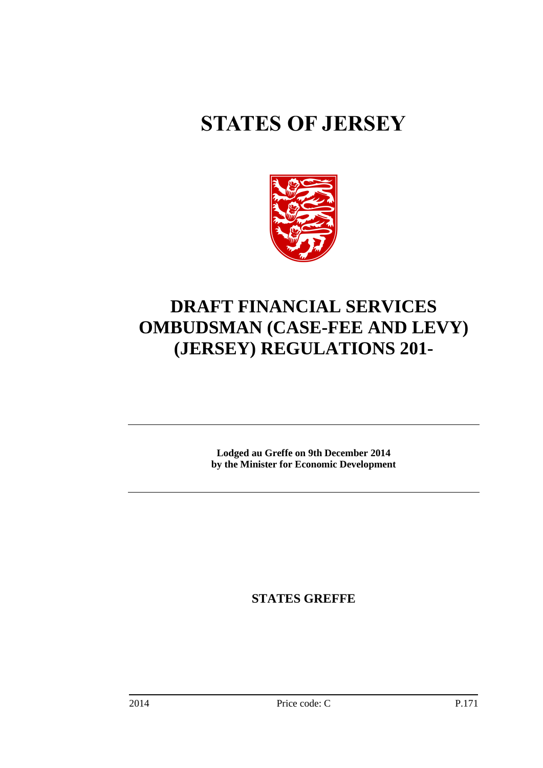# **STATES OF JERSEY**



## **DRAFT FINANCIAL SERVICES OMBUDSMAN (CASE-FEE AND LEVY) (JERSEY) REGULATIONS 201-**

**Lodged au Greffe on 9th December 2014 by the Minister for Economic Development**

**STATES GREFFE**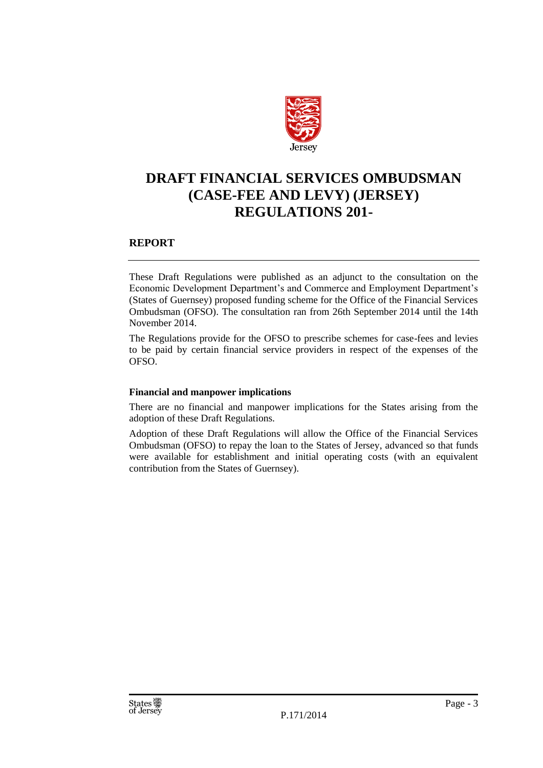

## **DRAFT FINANCIAL SERVICES OMBUDSMAN (CASE-FEE AND LEVY) (JERSEY) REGULATIONS 201-**

#### **REPORT**

These Draft Regulations were published as an adjunct to the consultation on the Economic Development Department's and Commerce and Employment Department's (States of Guernsey) proposed funding scheme for the Office of the Financial Services Ombudsman (OFSO). The consultation ran from 26th September 2014 until the 14th November 2014.

The Regulations provide for the OFSO to prescribe schemes for case-fees and levies to be paid by certain financial service providers in respect of the expenses of the OFSO.

#### **Financial and manpower implications**

There are no financial and manpower implications for the States arising from the adoption of these Draft Regulations.

Adoption of these Draft Regulations will allow the Office of the Financial Services Ombudsman (OFSO) to repay the loan to the States of Jersey, advanced so that funds were available for establishment and initial operating costs (with an equivalent contribution from the States of Guernsey).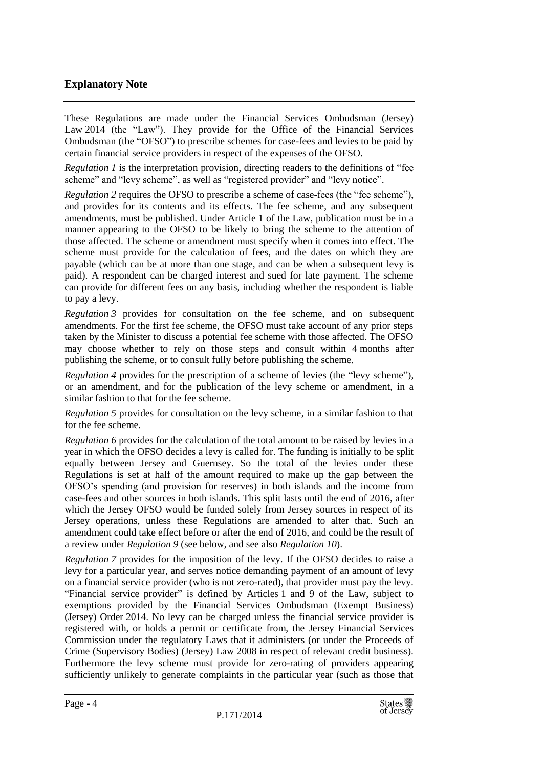#### **Explanatory Note**

These Regulations are made under the Financial Services Ombudsman (Jersey) Law 2014 (the "Law"). They provide for the Office of the Financial Services Ombudsman (the "OFSO") to prescribe schemes for case-fees and levies to be paid by certain financial service providers in respect of the expenses of the OFSO.

*Regulation 1* is the interpretation provision, directing readers to the definitions of "fee scheme" and "levy scheme", as well as "registered provider" and "levy notice".

*Regulation* 2 requires the OFSO to prescribe a scheme of case-fees (the "fee scheme"), and provides for its contents and its effects. The fee scheme, and any subsequent amendments, must be published. Under Article 1 of the Law, publication must be in a manner appearing to the OFSO to be likely to bring the scheme to the attention of those affected. The scheme or amendment must specify when it comes into effect. The scheme must provide for the calculation of fees, and the dates on which they are payable (which can be at more than one stage, and can be when a subsequent levy is paid). A respondent can be charged interest and sued for late payment. The scheme can provide for different fees on any basis, including whether the respondent is liable to pay a levy.

*Regulation 3* provides for consultation on the fee scheme, and on subsequent amendments. For the first fee scheme, the OFSO must take account of any prior steps taken by the Minister to discuss a potential fee scheme with those affected. The OFSO may choose whether to rely on those steps and consult within 4 months after publishing the scheme, or to consult fully before publishing the scheme.

*Regulation* 4 provides for the prescription of a scheme of levies (the "levy scheme"), or an amendment, and for the publication of the levy scheme or amendment, in a similar fashion to that for the fee scheme.

*Regulation 5* provides for consultation on the levy scheme, in a similar fashion to that for the fee scheme.

*Regulation 6* provides for the calculation of the total amount to be raised by levies in a year in which the OFSO decides a levy is called for. The funding is initially to be split equally between Jersey and Guernsey. So the total of the levies under these Regulations is set at half of the amount required to make up the gap between the OFSO's spending (and provision for reserves) in both islands and the income from case-fees and other sources in both islands. This split lasts until the end of 2016, after which the Jersey OFSO would be funded solely from Jersey sources in respect of its Jersey operations, unless these Regulations are amended to alter that. Such an amendment could take effect before or after the end of 2016, and could be the result of a review under *Regulation 9* (see below, and see also *Regulation 10*).

*Regulation 7* provides for the imposition of the levy. If the OFSO decides to raise a levy for a particular year, and serves notice demanding payment of an amount of levy on a financial service provider (who is not zero-rated), that provider must pay the levy. "Financial service provider" is defined by Articles 1 and 9 of the Law, subject to exemptions provided by the Financial Services Ombudsman (Exempt Business) (Jersey) Order 2014. No levy can be charged unless the financial service provider is registered with, or holds a permit or certificate from, the Jersey Financial Services Commission under the regulatory Laws that it administers (or under the Proceeds of Crime (Supervisory Bodies) (Jersey) Law 2008 in respect of relevant credit business). Furthermore the levy scheme must provide for zero-rating of providers appearing sufficiently unlikely to generate complaints in the particular year (such as those that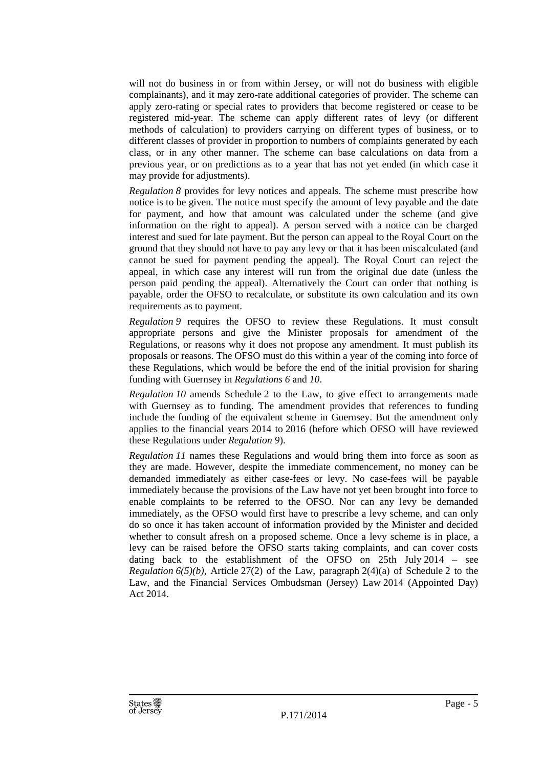will not do business in or from within Jersey, or will not do business with eligible complainants), and it may zero-rate additional categories of provider. The scheme can apply zero-rating or special rates to providers that become registered or cease to be registered mid-year. The scheme can apply different rates of levy (or different methods of calculation) to providers carrying on different types of business, or to different classes of provider in proportion to numbers of complaints generated by each class, or in any other manner. The scheme can base calculations on data from a previous year, or on predictions as to a year that has not yet ended (in which case it may provide for adjustments).

*Regulation 8* provides for levy notices and appeals. The scheme must prescribe how notice is to be given. The notice must specify the amount of levy payable and the date for payment, and how that amount was calculated under the scheme (and give information on the right to appeal). A person served with a notice can be charged interest and sued for late payment. But the person can appeal to the Royal Court on the ground that they should not have to pay any levy or that it has been miscalculated (and cannot be sued for payment pending the appeal). The Royal Court can reject the appeal, in which case any interest will run from the original due date (unless the person paid pending the appeal). Alternatively the Court can order that nothing is payable, order the OFSO to recalculate, or substitute its own calculation and its own requirements as to payment.

*Regulation 9* requires the OFSO to review these Regulations. It must consult appropriate persons and give the Minister proposals for amendment of the Regulations, or reasons why it does not propose any amendment. It must publish its proposals or reasons. The OFSO must do this within a year of the coming into force of these Regulations, which would be before the end of the initial provision for sharing funding with Guernsey in *Regulations 6* and *10*.

*Regulation 10* amends Schedule 2 to the Law, to give effect to arrangements made with Guernsey as to funding. The amendment provides that references to funding include the funding of the equivalent scheme in Guernsey. But the amendment only applies to the financial years 2014 to 2016 (before which OFSO will have reviewed these Regulations under *Regulation 9*).

*Regulation 11* names these Regulations and would bring them into force as soon as they are made. However, despite the immediate commencement, no money can be demanded immediately as either case-fees or levy. No case-fees will be payable immediately because the provisions of the Law have not yet been brought into force to enable complaints to be referred to the OFSO. Nor can any levy be demanded immediately, as the OFSO would first have to prescribe a levy scheme, and can only do so once it has taken account of information provided by the Minister and decided whether to consult afresh on a proposed scheme. Once a levy scheme is in place, a levy can be raised before the OFSO starts taking complaints, and can cover costs dating back to the establishment of the OFSO on 25th July 2014 – see *Regulation*  $6(5)(b)$ , Article 27(2) of the Law, paragraph 2(4)(a) of Schedule 2 to the Law, and the Financial Services Ombudsman (Jersey) Law 2014 (Appointed Day) Act 2014.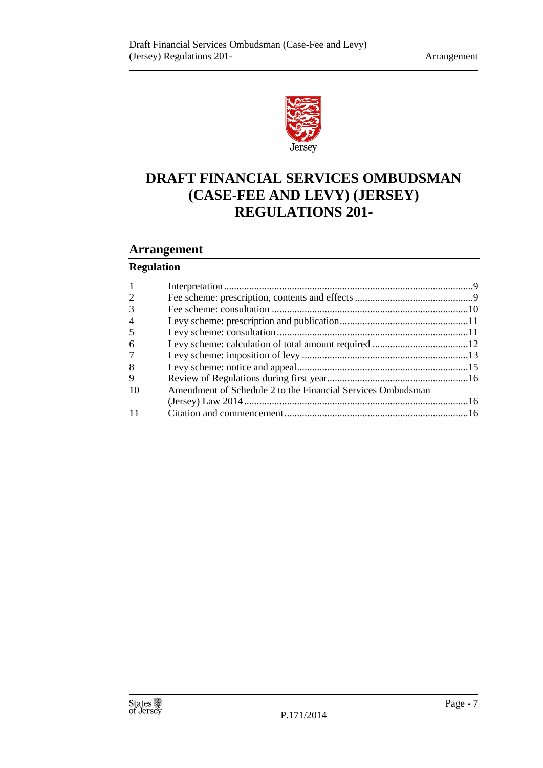

## **DRAFT FINANCIAL SERVICES OMBUDSMAN (CASE-FEE AND LEVY) (JERSEY) REGULATIONS 201-**

#### **Arrangement**

#### **Regulation**

| 2              |                                                             |  |
|----------------|-------------------------------------------------------------|--|
| 3              |                                                             |  |
| $\overline{4}$ |                                                             |  |
| 5              |                                                             |  |
| 6              |                                                             |  |
| 7              |                                                             |  |
| 8              |                                                             |  |
| 9              |                                                             |  |
| 10             | Amendment of Schedule 2 to the Financial Services Ombudsman |  |
|                |                                                             |  |
|                |                                                             |  |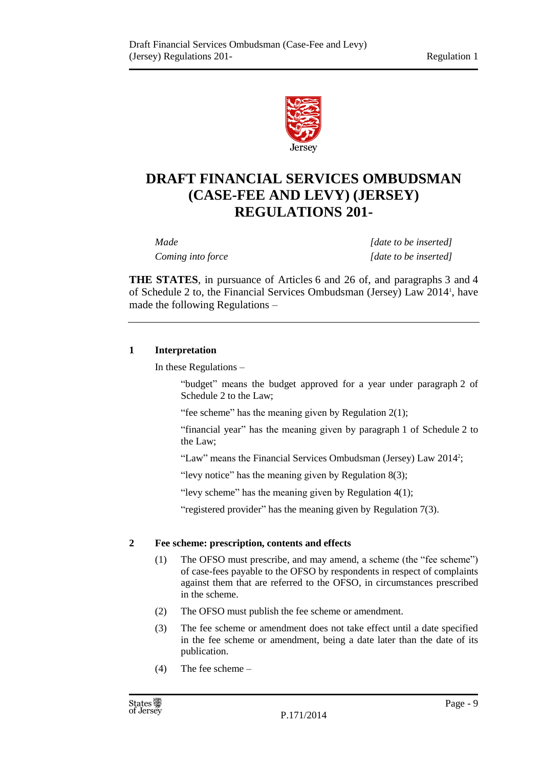

## **DRAFT FINANCIAL SERVICES OMBUDSMAN (CASE-FEE AND LEVY) (JERSEY) REGULATIONS 201-**

*Made [date to be inserted] Coming into force [date to be inserted]*

**THE STATES**, in pursuance of Articles 6 and 26 of, and paragraphs 3 and 4 of Schedule 2 to, the Financial Services Ombudsman (Jersey) Law 2014 1 , have made the following Regulations –

#### <span id="page-8-0"></span>**1 Interpretation**

In these Regulations –

"budget" means the budget approved for a year under paragraph 2 of Schedule 2 to the Law;

"fee scheme" has the meaning given by Regulation  $2(1)$ ;

"financial year" has the meaning given by paragraph 1 of Schedule 2 to the Law;

"Law" means the Financial Services Ombudsman (Jersey) Law 2014<sup>2</sup>;

"levy notice" has the meaning given by Regulation 8(3);

"levy scheme" has the meaning given by Regulation  $4(1)$ ;

"registered provider" has the meaning given by Regulation  $7(3)$ .

#### <span id="page-8-1"></span>**2 Fee scheme: prescription, contents and effects**

- (1) The OFSO must prescribe, and may amend, a scheme (the "fee scheme") of case-fees payable to the OFSO by respondents in respect of complaints against them that are referred to the OFSO, in circumstances prescribed in the scheme.
- (2) The OFSO must publish the fee scheme or amendment.
- (3) The fee scheme or amendment does not take effect until a date specified in the fee scheme or amendment, being a date later than the date of its publication.
- (4) The fee scheme –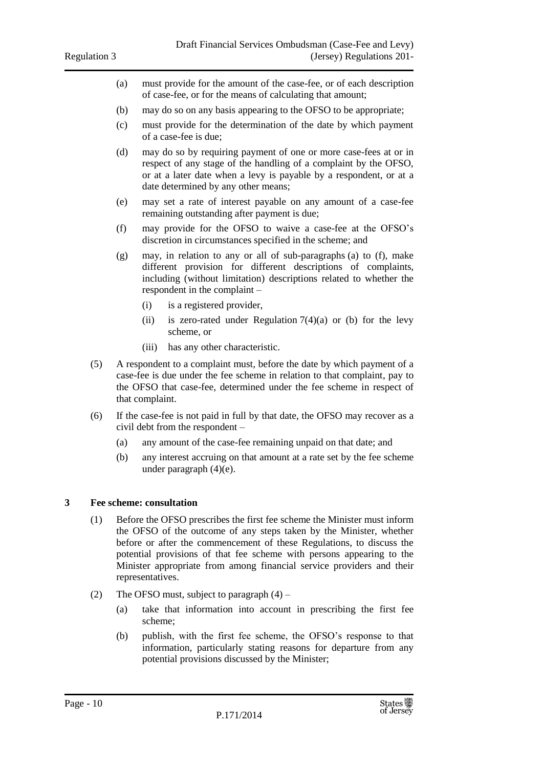- (a) must provide for the amount of the case-fee, or of each description of case-fee, or for the means of calculating that amount;
- (b) may do so on any basis appearing to the OFSO to be appropriate;
- (c) must provide for the determination of the date by which payment of a case-fee is due;
- (d) may do so by requiring payment of one or more case-fees at or in respect of any stage of the handling of a complaint by the OFSO, or at a later date when a levy is payable by a respondent, or at a date determined by any other means;
- (e) may set a rate of interest payable on any amount of a case-fee remaining outstanding after payment is due;
- (f) may provide for the OFSO to waive a case-fee at the OFSO's discretion in circumstances specified in the scheme; and
- (g) may, in relation to any or all of sub-paragraphs (a) to (f), make different provision for different descriptions of complaints, including (without limitation) descriptions related to whether the respondent in the complaint –
	- (i) is a registered provider,
	- (ii) is zero-rated under Regulation  $7(4)(a)$  or (b) for the levy scheme, or
	- (iii) has any other characteristic.
- (5) A respondent to a complaint must, before the date by which payment of a case-fee is due under the fee scheme in relation to that complaint, pay to the OFSO that case-fee, determined under the fee scheme in respect of that complaint.
- (6) If the case-fee is not paid in full by that date, the OFSO may recover as a civil debt from the respondent –
	- (a) any amount of the case-fee remaining unpaid on that date; and
	- (b) any interest accruing on that amount at a rate set by the fee scheme under paragraph (4)(e).

#### <span id="page-9-0"></span>**3 Fee scheme: consultation**

- (1) Before the OFSO prescribes the first fee scheme the Minister must inform the OFSO of the outcome of any steps taken by the Minister, whether before or after the commencement of these Regulations, to discuss the potential provisions of that fee scheme with persons appearing to the Minister appropriate from among financial service providers and their representatives.
- (2) The OFSO must, subject to paragraph  $(4)$ 
	- (a) take that information into account in prescribing the first fee scheme;
	- (b) publish, with the first fee scheme, the OFSO's response to that information, particularly stating reasons for departure from any potential provisions discussed by the Minister;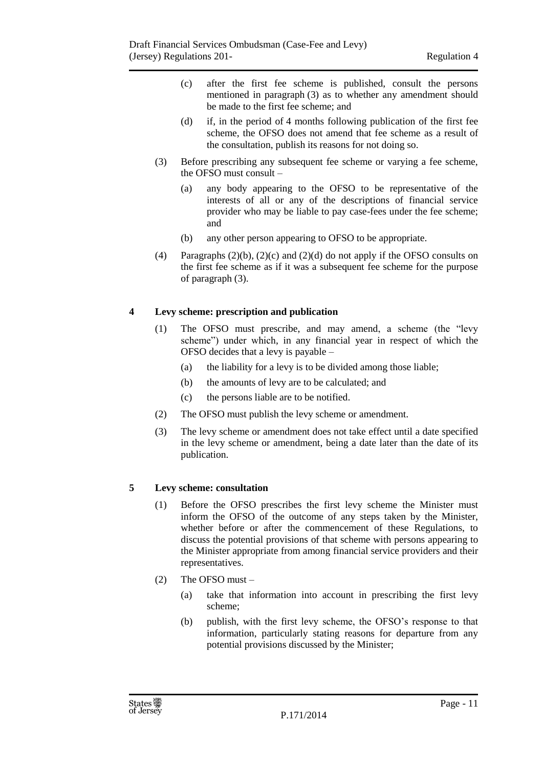- (c) after the first fee scheme is published, consult the persons mentioned in paragraph (3) as to whether any amendment should be made to the first fee scheme; and
- (d) if, in the period of 4 months following publication of the first fee scheme, the OFSO does not amend that fee scheme as a result of the consultation, publish its reasons for not doing so.
- (3) Before prescribing any subsequent fee scheme or varying a fee scheme, the OFSO must consult –
	- (a) any body appearing to the OFSO to be representative of the interests of all or any of the descriptions of financial service provider who may be liable to pay case-fees under the fee scheme; and
	- (b) any other person appearing to OFSO to be appropriate.
- (4) Paragraphs  $(2)(b)$ ,  $(2)(c)$  and  $(2)(d)$  do not apply if the OFSO consults on the first fee scheme as if it was a subsequent fee scheme for the purpose of paragraph (3).

#### <span id="page-10-0"></span>**4 Levy scheme: prescription and publication**

- (1) The OFSO must prescribe, and may amend, a scheme (the "levy scheme") under which, in any financial year in respect of which the OFSO decides that a levy is payable –
	- (a) the liability for a levy is to be divided among those liable;
	- (b) the amounts of levy are to be calculated; and
	- (c) the persons liable are to be notified.
- (2) The OFSO must publish the levy scheme or amendment.
- (3) The levy scheme or amendment does not take effect until a date specified in the levy scheme or amendment, being a date later than the date of its publication.

#### <span id="page-10-1"></span>**5 Levy scheme: consultation**

- (1) Before the OFSO prescribes the first levy scheme the Minister must inform the OFSO of the outcome of any steps taken by the Minister, whether before or after the commencement of these Regulations, to discuss the potential provisions of that scheme with persons appearing to the Minister appropriate from among financial service providers and their representatives.
- (2) The OFSO must
	- (a) take that information into account in prescribing the first levy scheme;
	- (b) publish, with the first levy scheme, the OFSO's response to that information, particularly stating reasons for departure from any potential provisions discussed by the Minister;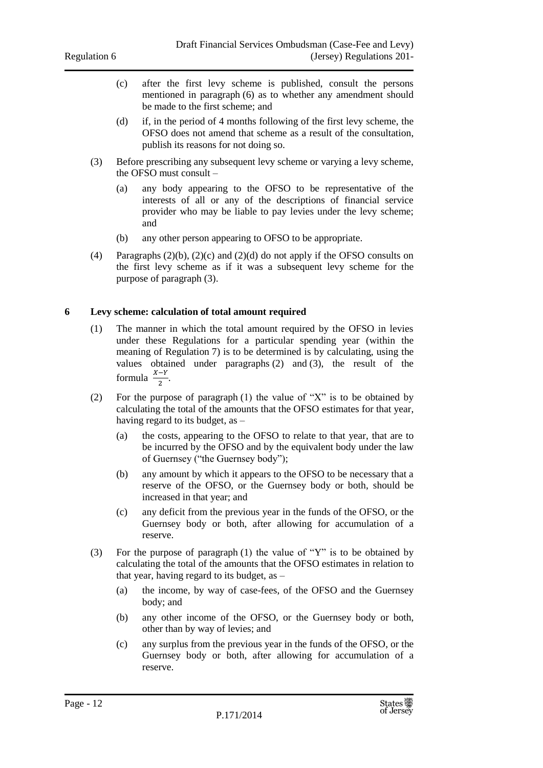- (c) after the first levy scheme is published, consult the persons mentioned in paragraph (6) as to whether any amendment should be made to the first scheme; and
- (d) if, in the period of 4 months following of the first levy scheme, the OFSO does not amend that scheme as a result of the consultation, publish its reasons for not doing so.
- (3) Before prescribing any subsequent levy scheme or varying a levy scheme, the OFSO must consult –
	- (a) any body appearing to the OFSO to be representative of the interests of all or any of the descriptions of financial service provider who may be liable to pay levies under the levy scheme; and
	- (b) any other person appearing to OFSO to be appropriate.
- (4) Paragraphs  $(2)(b)$ ,  $(2)(c)$  and  $(2)(d)$  do not apply if the OFSO consults on the first levy scheme as if it was a subsequent levy scheme for the purpose of paragraph (3).

#### <span id="page-11-0"></span>**6 Levy scheme: calculation of total amount required**

- (1) The manner in which the total amount required by the OFSO in levies under these Regulations for a particular spending year (within the meaning of Regulation 7) is to be determined is by calculating, using the values obtained under paragraphs (2) and (3), the result of the formula  $\frac{X-Y}{2}$ .
- (2) For the purpose of paragraph (1) the value of "X" is to be obtained by calculating the total of the amounts that the OFSO estimates for that year, having regard to its budget, as –
	- (a) the costs, appearing to the OFSO to relate to that year, that are to be incurred by the OFSO and by the equivalent body under the law of Guernsey ("the Guernsey body");
	- (b) any amount by which it appears to the OFSO to be necessary that a reserve of the OFSO, or the Guernsey body or both, should be increased in that year; and
	- (c) any deficit from the previous year in the funds of the OFSO, or the Guernsey body or both, after allowing for accumulation of a reserve.
- (3) For the purpose of paragraph (1) the value of "Y" is to be obtained by calculating the total of the amounts that the OFSO estimates in relation to that year, having regard to its budget, as –
	- (a) the income, by way of case-fees, of the OFSO and the Guernsey body; and
	- (b) any other income of the OFSO, or the Guernsey body or both, other than by way of levies; and
	- (c) any surplus from the previous year in the funds of the OFSO, or the Guernsey body or both, after allowing for accumulation of a reserve.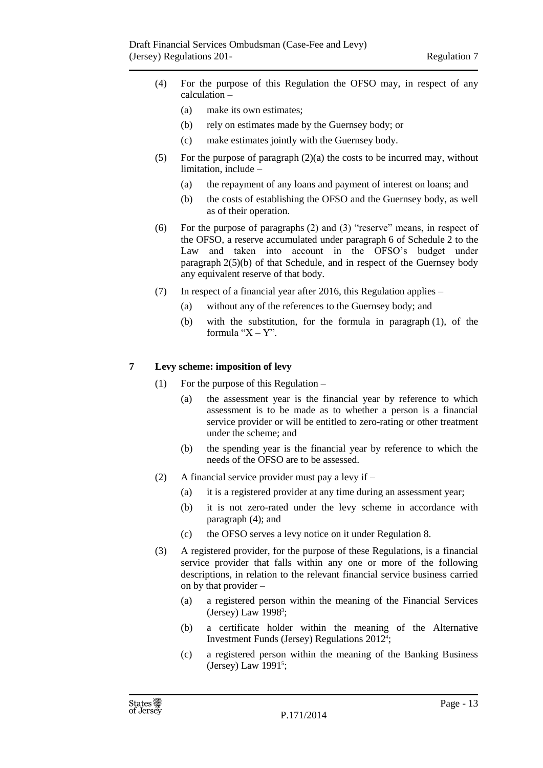- (4) For the purpose of this Regulation the OFSO may, in respect of any calculation –
	- (a) make its own estimates;
	- (b) rely on estimates made by the Guernsey body; or
	- (c) make estimates jointly with the Guernsey body.
- (5) For the purpose of paragraph (2)(a) the costs to be incurred may, without limitation, include –
	- (a) the repayment of any loans and payment of interest on loans; and
	- (b) the costs of establishing the OFSO and the Guernsey body, as well as of their operation.
- (6) For the purpose of paragraphs (2) and (3) "reserve" means, in respect of the OFSO, a reserve accumulated under paragraph 6 of Schedule 2 to the Law and taken into account in the OFSO's budget under paragraph 2(5)(b) of that Schedule, and in respect of the Guernsey body any equivalent reserve of that body.
- (7) In respect of a financial year after 2016, this Regulation applies
	- (a) without any of the references to the Guernsey body; and
	- (b) with the substitution, for the formula in paragraph (1), of the formula " $X - Y$ ".

#### <span id="page-12-0"></span>**7 Levy scheme: imposition of levy**

- (1) For the purpose of this Regulation
	- (a) the assessment year is the financial year by reference to which assessment is to be made as to whether a person is a financial service provider or will be entitled to zero-rating or other treatment under the scheme; and
	- (b) the spending year is the financial year by reference to which the needs of the OFSO are to be assessed.
- (2) A financial service provider must pay a levy if
	- (a) it is a registered provider at any time during an assessment year;
	- (b) it is not zero-rated under the levy scheme in accordance with paragraph (4); and
	- (c) the OFSO serves a levy notice on it under Regulation 8.
- (3) A registered provider, for the purpose of these Regulations, is a financial service provider that falls within any one or more of the following descriptions, in relation to the relevant financial service business carried on by that provider –
	- (a) a registered person within the meaning of the Financial Services (Jersey) Law 1998<sup>3</sup>;
	- (b) a certificate holder within the meaning of the Alternative Investment Funds (Jersey) Regulations 2012<sup>4</sup> ;
	- (c) a registered person within the meaning of the Banking Business  $(Jersey)$  Law 1991<sup>5</sup>;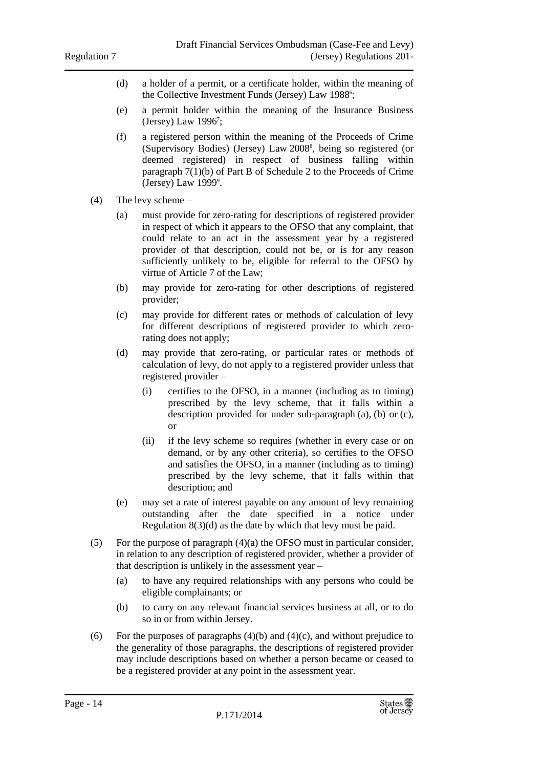- (d) a holder of a permit, or a certificate holder, within the meaning of the Collective Investment Funds (Jersey) Law 1988<sup>6</sup>;
- (e) a permit holder within the meaning of the Insurance Business (Jersey) Law 1996<sup>7</sup>;
- (f) a registered person within the meaning of the Proceeds of Crime (Supervisory Bodies) (Jersey) Law 2008<sup>8</sup> , being so registered (or deemed registered) in respect of business falling within paragraph 7(1)(b) of Part B of Schedule 2 to the Proceeds of Crime  $(Jersey)$  Law 1999 $9$ .
- (4) The levy scheme
	- (a) must provide for zero-rating for descriptions of registered provider in respect of which it appears to the OFSO that any complaint, that could relate to an act in the assessment year by a registered provider of that description, could not be, or is for any reason sufficiently unlikely to be, eligible for referral to the OFSO by virtue of Article 7 of the Law;
	- (b) may provide for zero-rating for other descriptions of registered provider;
	- (c) may provide for different rates or methods of calculation of levy for different descriptions of registered provider to which zerorating does not apply;
	- (d) may provide that zero-rating, or particular rates or methods of calculation of levy, do not apply to a registered provider unless that registered provider –
		- (i) certifies to the OFSO, in a manner (including as to timing) prescribed by the levy scheme, that it falls within a description provided for under sub-paragraph (a), (b) or (c), or
		- (ii) if the levy scheme so requires (whether in every case or on demand, or by any other criteria), so certifies to the OFSO and satisfies the OFSO, in a manner (including as to timing) prescribed by the levy scheme, that it falls within that description; and
	- (e) may set a rate of interest payable on any amount of levy remaining outstanding after the date specified in a notice under Regulation 8(3)(d) as the date by which that levy must be paid.
- (5) For the purpose of paragraph (4)(a) the OFSO must in particular consider, in relation to any description of registered provider, whether a provider of that description is unlikely in the assessment year –
	- (a) to have any required relationships with any persons who could be eligible complainants; or
	- (b) to carry on any relevant financial services business at all, or to do so in or from within Jersey.
- (6) For the purposes of paragraphs  $(4)(b)$  and  $(4)(c)$ , and without prejudice to the generality of those paragraphs, the descriptions of registered provider may include descriptions based on whether a person became or ceased to be a registered provider at any point in the assessment year.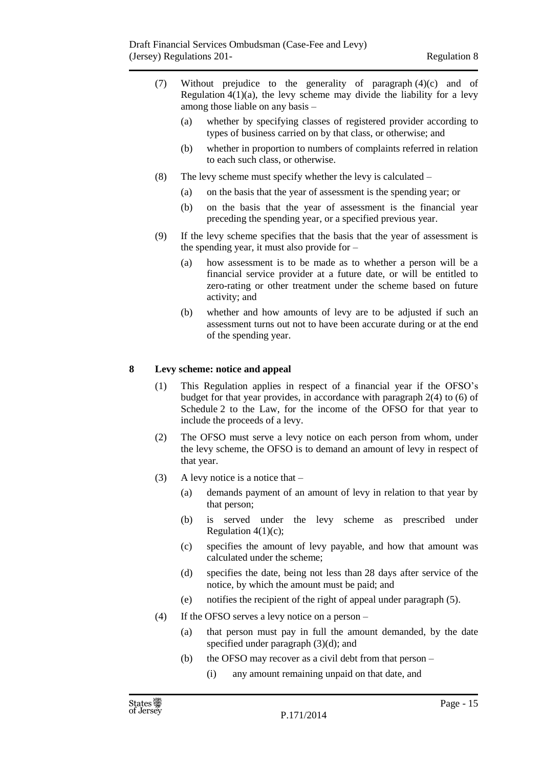- (7) Without prejudice to the generality of paragraph (4)(c) and of Regulation  $4(1)(a)$ , the levy scheme may divide the liability for a levy among those liable on any basis –
	- (a) whether by specifying classes of registered provider according to types of business carried on by that class, or otherwise; and
	- (b) whether in proportion to numbers of complaints referred in relation to each such class, or otherwise.
- (8) The levy scheme must specify whether the levy is calculated
	- (a) on the basis that the year of assessment is the spending year; or
	- (b) on the basis that the year of assessment is the financial year preceding the spending year, or a specified previous year.
- (9) If the levy scheme specifies that the basis that the year of assessment is the spending year, it must also provide for –
	- (a) how assessment is to be made as to whether a person will be a financial service provider at a future date, or will be entitled to zero-rating or other treatment under the scheme based on future activity; and
	- (b) whether and how amounts of levy are to be adjusted if such an assessment turns out not to have been accurate during or at the end of the spending year.

#### <span id="page-14-0"></span>**8 Levy scheme: notice and appeal**

- (1) This Regulation applies in respect of a financial year if the OFSO's budget for that year provides, in accordance with paragraph 2(4) to (6) of Schedule 2 to the Law, for the income of the OFSO for that year to include the proceeds of a levy.
- (2) The OFSO must serve a levy notice on each person from whom, under the levy scheme, the OFSO is to demand an amount of levy in respect of that year.
- (3) A levy notice is a notice that  $-$ 
	- (a) demands payment of an amount of levy in relation to that year by that person;
	- (b) is served under the levy scheme as prescribed under Regulation  $4(1)(c)$ ;
	- (c) specifies the amount of levy payable, and how that amount was calculated under the scheme;
	- (d) specifies the date, being not less than 28 days after service of the notice, by which the amount must be paid; and
	- (e) notifies the recipient of the right of appeal under paragraph (5).
- (4) If the OFSO serves a levy notice on a person
	- (a) that person must pay in full the amount demanded, by the date specified under paragraph (3)(d); and
	- (b) the OFSO may recover as a civil debt from that person
		- (i) any amount remaining unpaid on that date, and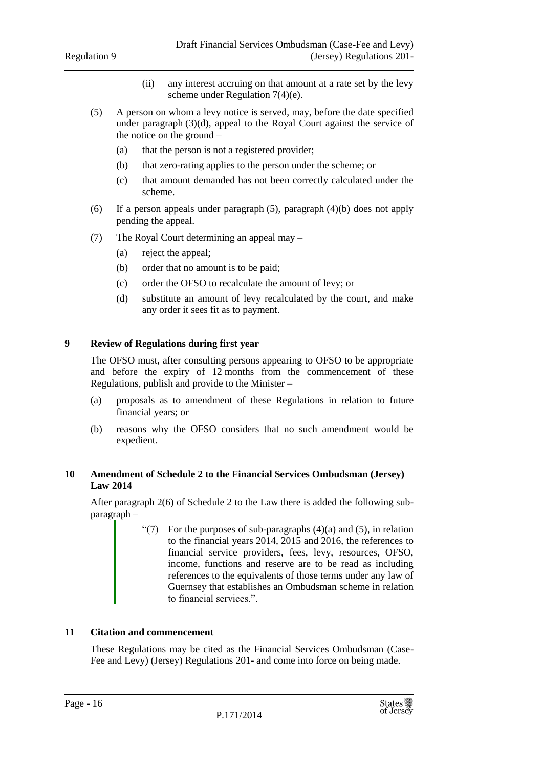- (ii) any interest accruing on that amount at a rate set by the levy scheme under Regulation 7(4)(e).
- (5) A person on whom a levy notice is served, may, before the date specified under paragraph (3)(d), appeal to the Royal Court against the service of the notice on the ground –
	- (a) that the person is not a registered provider;
	- (b) that zero-rating applies to the person under the scheme; or
	- (c) that amount demanded has not been correctly calculated under the scheme.
- (6) If a person appeals under paragraph (5), paragraph (4)(b) does not apply pending the appeal.
- (7) The Royal Court determining an appeal may
	- (a) reject the appeal;
	- (b) order that no amount is to be paid;
	- (c) order the OFSO to recalculate the amount of levy; or
	- (d) substitute an amount of levy recalculated by the court, and make any order it sees fit as to payment.

#### <span id="page-15-0"></span>**9 Review of Regulations during first year**

The OFSO must, after consulting persons appearing to OFSO to be appropriate and before the expiry of 12 months from the commencement of these Regulations, publish and provide to the Minister –

- (a) proposals as to amendment of these Regulations in relation to future financial years; or
- (b) reasons why the OFSO considers that no such amendment would be expedient.

#### <span id="page-15-1"></span>**10 Amendment of Schedule 2 to the Financial Services Ombudsman (Jersey) Law 2014**

After paragraph 2(6) of Schedule 2 to the Law there is added the following subparagraph –

> "(7) For the purposes of sub-paragraphs  $(4)(a)$  and  $(5)$ , in relation to the financial years 2014, 2015 and 2016, the references to financial service providers, fees, levy, resources, OFSO, income, functions and reserve are to be read as including references to the equivalents of those terms under any law of Guernsey that establishes an Ombudsman scheme in relation to financial services.".

#### <span id="page-15-2"></span>**11 Citation and commencement**

These Regulations may be cited as the Financial Services Ombudsman (Case-Fee and Levy) (Jersey) Regulations 201- and come into force on being made.